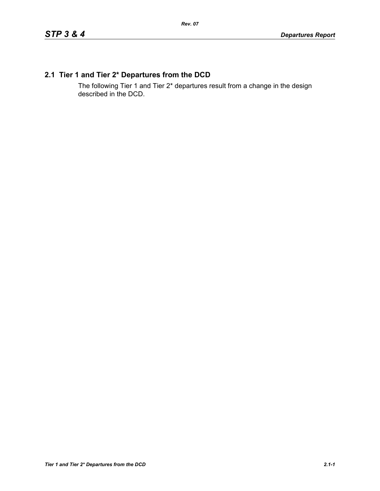# **2.1 Tier 1 and Tier 2\* Departures from the DCD**

The following Tier 1 and Tier 2\* departures result from a change in the design described in the DCD.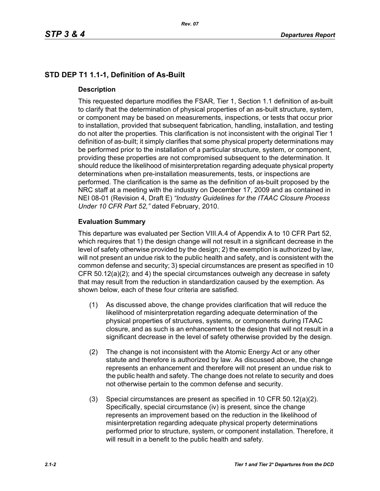# **STD DEP T1 1.1-1, Definition of As-Built**

## **Description**

This requested departure modifies the FSAR, Tier 1, Section 1.1 definition of as-built to clarify that the determination of physical properties of an as-built structure, system, or component may be based on measurements, inspections, or tests that occur prior to installation, provided that subsequent fabrication, handling, installation, and testing do not alter the properties. This clarification is not inconsistent with the original Tier 1 definition of as-built; it simply clarifies that some physical property determinations may be performed prior to the installation of a particular structure, system, or component, providing these properties are not compromised subsequent to the determination. It should reduce the likelihood of misinterpretation regarding adequate physical property determinations when pre-installation measurements, tests, or inspections are performed. The clarification is the same as the definition of as-built proposed by the NRC staff at a meeting with the industry on December 17, 2009 and as contained in NEI 08-01 (Revision 4, Draft E) *"Industry Guidelines for the ITAAC Closure Process Under 10 CFR Part 52,"* dated February, 2010.

# **Evaluation Summary**

This departure was evaluated per Section VIII.A.4 of Appendix A to 10 CFR Part 52, which requires that 1) the design change will not result in a significant decrease in the level of safety otherwise provided by the design; 2) the exemption is authorized by law, will not present an undue risk to the public health and safety, and is consistent with the common defense and security; 3) special circumstances are present as specified in 10 CFR 50.12(a)(2); and 4) the special circumstances outweigh any decrease in safety that may result from the reduction in standardization caused by the exemption. As shown below, each of these four criteria are satisfied.

- (1) As discussed above, the change provides clarification that will reduce the likelihood of misinterpretation regarding adequate determination of the physical properties of structures, systems, or components during ITAAC closure, and as such is an enhancement to the design that will not result in a significant decrease in the level of safety otherwise provided by the design.
- (2) The change is not inconsistent with the Atomic Energy Act or any other statute and therefore is authorized by law. As discussed above, the change represents an enhancement and therefore will not present an undue risk to the public health and safety. The change does not relate to security and does not otherwise pertain to the common defense and security.
- (3) Special circumstances are present as specified in 10 CFR 50.12(a)(2). Specifically, special circumstance (iv) is present, since the change represents an improvement based on the reduction in the likelihood of misinterpretation regarding adequate physical property determinations performed prior to structure, system, or component installation. Therefore, it will result in a benefit to the public health and safety.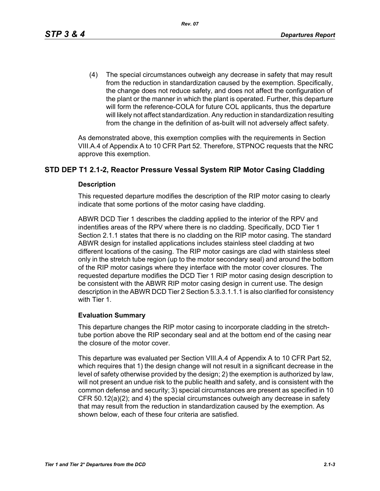(4) The special circumstances outweigh any decrease in safety that may result from the reduction in standardization caused by the exemption. Specifically, the change does not reduce safety, and does not affect the configuration of the plant or the manner in which the plant is operated. Further, this departure will form the reference-COLA for future COL applicants, thus the departure will likely not affect standardization. Any reduction in standardization resulting from the change in the definition of as-built will not adversely affect safety.

As demonstrated above, this exemption complies with the requirements in Section VIII.A.4 of Appendix A to 10 CFR Part 52. Therefore, STPNOC requests that the NRC approve this exemption.

# **STD DEP T1 2.1-2, Reactor Pressure Vessal System RIP Motor Casing Cladding**

#### **Description**

This requested departure modifies the description of the RIP motor casing to clearly indicate that some portions of the motor casing have cladding.

ABWR DCD Tier 1 describes the cladding applied to the interior of the RPV and indentifies areas of the RPV where there is no cladding. Specifically, DCD Tier 1 Section 2.1.1 states that there is no cladding on the RIP motor casing. The standard ABWR design for installed applications includes stainless steel cladding at two different locations of the casing. The RIP motor casings are clad with stainless steel only in the stretch tube region (up to the motor secondary seal) and around the bottom of the RIP motor casings where they interface with the motor cover closures. The requested departure modifies the DCD Tier 1 RIP motor casing design description to be consistent with the ABWR RIP motor casing design in current use. The design description in the ABWR DCD Tier 2 Section 5.3.3.1.1.1 is also clarified for consistency with Tier 1.

#### **Evaluation Summary**

This departure changes the RIP motor casing to incorporate cladding in the stretchtube portion above the RIP secondary seal and at the bottom end of the casing near the closure of the motor cover.

This departure was evaluated per Section VIII.A.4 of Appendix A to 10 CFR Part 52, which requires that 1) the design change will not result in a significant decrease in the level of safety otherwise provided by the design; 2) the exemption is authorized by law, will not present an undue risk to the public health and safety, and is consistent with the common defense and security; 3) special circumstances are present as specified in 10 CFR  $50.12(a)(2)$ ; and 4) the special circumstances outweigh any decrease in safety that may result from the reduction in standardization caused by the exemption. As shown below, each of these four criteria are satisfied.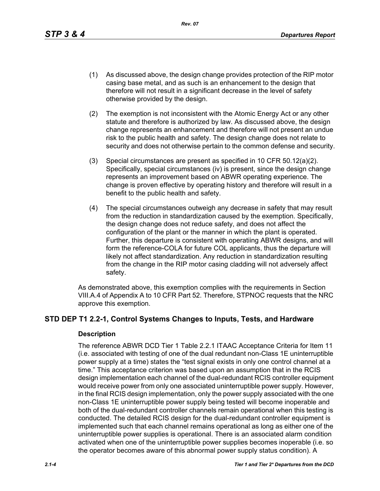*Rev. 07*

- (1) As discussed above, the design change provides protection of the RIP motor casing base metal, and as such is an enhancement to the design that therefore will not result in a significant decrease in the level of safety otherwise provided by the design.
- (2) The exemption is not inconsistent with the Atomic Energy Act or any other statute and therefore is authorized by law. As discussed above, the design change represents an enhancement and therefore will not present an undue risk to the public health and safety. The design change does not relate to security and does not otherwise pertain to the common defense and security.
- (3) Special circumstances are present as specified in 10 CFR 50.12(a)(2). Specifically, special circumstances (iv) is present, since the design change represents an improvement based on ABWR operating experience. The change is proven effective by operating history and therefore will result in a benefit to the public health and safety.
- (4) The special circumstances outweigh any decrease in safety that may result from the reduction in standardization caused by the exemption. Specifically, the design change does not reduce safety, and does not affect the configuration of the plant or the manner in which the plant is operated. Further, this departure is consistent with operatiing ABWR designs, and will form the reference-COLA for future COL applicants, thus the departure will likely not affect standardization. Any reduction in standardization resulting from the change in the RIP motor casing cladding will not adversely affect safety.

As demonstrated above, this exemption complies with the requirements in Section VIII.A.4 of Appendix A to 10 CFR Part 52. Therefore, STPNOC requests that the NRC approve this exemption.

# **STD DEP T1 2.2-1, Control Systems Changes to Inputs, Tests, and Hardware**

#### **Description**

The reference ABWR DCD Tier 1 Table 2.2.1 ITAAC Acceptance Criteria for Item 11 (i.e. associated with testing of one of the dual redundant non-Class 1E uninterruptible power supply at a time) states the "test signal exists in only one control channel at a time." This acceptance criterion was based upon an assumption that in the RCIS design implementation each channel of the dual-redundant RCIS controller equipment would receive power from only one associated uninterruptible power supply. However, in the final RCIS design implementation, only the power supply associated with the one non-Class 1E uninterruptible power supply being tested will become inoperable and both of the dual-redundant controller channels remain operational when this testing is conducted. The detailed RCIS design for the dual-redundant controller equipment is implemented such that each channel remains operational as long as either one of the uninterruptible power supplies is operational. There is an associated alarm condition activated when one of the uninterruptible power supplies becomes inoperable (i.e. so the operator becomes aware of this abnormal power supply status condition). A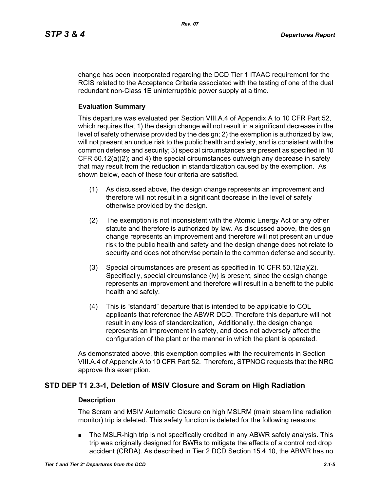change has been incorporated regarding the DCD Tier 1 ITAAC requirement for the RCIS related to the Acceptance Criteria associated with the testing of one of the dual redundant non-Class 1E uninterruptible power supply at a time.

#### **Evaluation Summary**

This departure was evaluated per Section VIII.A.4 of Appendix A to 10 CFR Part 52, which requires that 1) the design change will not result in a significant decrease in the level of safety otherwise provided by the design; 2) the exemption is authorized by law, will not present an undue risk to the public health and safety, and is consistent with the common defense and security; 3) special circumstances are present as specified in 10 CFR 50.12(a)(2); and 4) the special circumstances outweigh any decrease in safety that may result from the reduction in standardization caused by the exemption. As shown below, each of these four criteria are satisfied.

- (1) As discussed above, the design change represents an improvement and therefore will not result in a significant decrease in the level of safety otherwise provided by the design.
- (2) The exemption is not inconsistent with the Atomic Energy Act or any other statute and therefore is authorized by law. As discussed above, the design change represents an improvement and therefore will not present an undue risk to the public health and safety and the design change does not relate to security and does not otherwise pertain to the common defense and security.
- (3) Special circumstances are present as specified in 10 CFR 50.12(a)(2). Specifically, special circumstance (iv) is present, since the design change represents an improvement and therefore will result in a benefit to the public health and safety.
- (4) This is "standard" departure that is intended to be applicable to COL applicants that reference the ABWR DCD. Therefore this departure will not result in any loss of standardization, Additionally, the design change represents an improvement in safety, and does not adversely affect the configuration of the plant or the manner in which the plant is operated.

As demonstrated above, this exemption complies with the requirements in Section VIII.A.4 of Appendix A to 10 CFR Part 52. Therefore, STPNOC requests that the NRC approve this exemption.

# **STD DEP T1 2.3-1, Deletion of MSIV Closure and Scram on High Radiation**

#### **Description**

The Scram and MSIV Automatic Closure on high MSLRM (main steam line radiation monitor) trip is deleted. This safety function is deleted for the following reasons:

 The MSLR-high trip is not specifically credited in any ABWR safety analysis. This trip was originally designed for BWRs to mitigate the effects of a control rod drop accident (CRDA). As described in Tier 2 DCD Section 15.4.10, the ABWR has no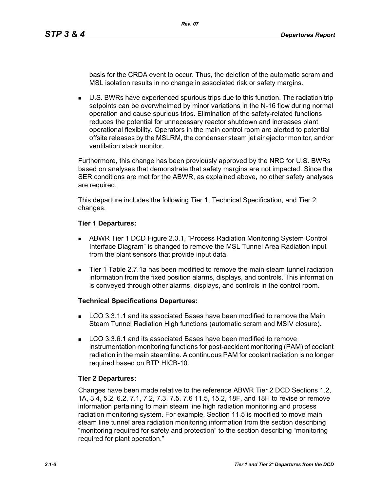basis for the CRDA event to occur. Thus, the deletion of the automatic scram and MSL isolation results in no change in associated risk or safety margins.

 U.S. BWRs have experienced spurious trips due to this function. The radiation trip setpoints can be overwhelmed by minor variations in the N-16 flow during normal operation and cause spurious trips. Elimination of the safety-related functions reduces the potential for unnecessary reactor shutdown and increases plant operational flexibility. Operators in the main control room are alerted to potential offsite releases by the MSLRM, the condenser steam jet air ejector monitor, and/or ventilation stack monitor.

Furthermore, this change has been previously approved by the NRC for U.S. BWRs based on analyses that demonstrate that safety margins are not impacted. Since the SER conditions are met for the ABWR, as explained above, no other safety analyses are required.

This departure includes the following Tier 1, Technical Specification, and Tier 2 changes.

#### **Tier 1 Departures:**

- ABWR Tier 1 DCD Figure 2.3.1, "Process Radiation Monitoring System Control Interface Diagram" is changed to remove the MSL Tunnel Area Radiation input from the plant sensors that provide input data.
- Tier 1 Table 2.7.1a has been modified to remove the main steam tunnel radiation information from the fixed position alarms, displays, and controls. This information is conveyed through other alarms, displays, and controls in the control room.

## **Technical Specifications Departures:**

- **LCO 3.3.1.1 and its associated Bases have been modified to remove the Main** Steam Tunnel Radiation High functions (automatic scram and MSIV closure).
- LCO 3.3.6.1 and its associated Bases have been modified to remove instrumentation monitoring functions for post-accident monitoring (PAM) of coolant radiation in the main steamline. A continuous PAM for coolant radiation is no longer required based on BTP HICB-10.

## **Tier 2 Departures:**

Changes have been made relative to the reference ABWR Tier 2 DCD Sections 1.2, 1A, 3.4, 5.2, 6.2, 7.1, 7.2, 7.3, 7.5, 7.6 11.5, 15.2, 18F, and 18H to revise or remove information pertaining to main steam line high radiation monitoring and process radiation monitoring system. For example, Section 11.5 is modified to move main steam line tunnel area radiation monitoring information from the section describing "monitoring required for safety and protection" to the section describing "monitoring required for plant operation."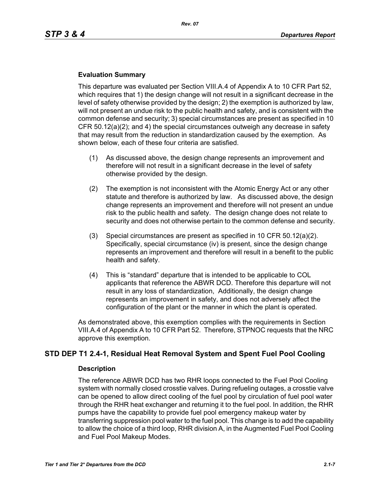#### **Evaluation Summary**

This departure was evaluated per Section VIII.A.4 of Appendix A to 10 CFR Part 52, which requires that 1) the design change will not result in a significant decrease in the level of safety otherwise provided by the design; 2) the exemption is authorized by law, will not present an undue risk to the public health and safety, and is consistent with the common defense and security; 3) special circumstances are present as specified in 10 CFR 50.12(a)(2); and 4) the special circumstances outweigh any decrease in safety that may result from the reduction in standardization caused by the exemption. As shown below, each of these four criteria are satisfied.

- (1) As discussed above, the design change represents an improvement and therefore will not result in a significant decrease in the level of safety otherwise provided by the design.
- (2) The exemption is not inconsistent with the Atomic Energy Act or any other statute and therefore is authorized by law. As discussed above, the design change represents an improvement and therefore will not present an undue risk to the public health and safety. The design change does not relate to security and does not otherwise pertain to the common defense and security.
- (3) Special circumstances are present as specified in 10 CFR 50.12(a)(2). Specifically, special circumstance (iv) is present, since the design change represents an improvement and therefore will result in a benefit to the public health and safety.
- (4) This is "standard" departure that is intended to be applicable to COL applicants that reference the ABWR DCD. Therefore this departure will not result in any loss of standardization, Additionally, the design change represents an improvement in safety, and does not adversely affect the configuration of the plant or the manner in which the plant is operated.

As demonstrated above, this exemption complies with the requirements in Section VIII.A.4 of Appendix A to 10 CFR Part 52. Therefore, STPNOC requests that the NRC approve this exemption.

# **STD DEP T1 2.4-1, Residual Heat Removal System and Spent Fuel Pool Cooling**

#### **Description**

The reference ABWR DCD has two RHR loops connected to the Fuel Pool Cooling system with normally closed crosstie valves. During refueling outages, a crosstie valve can be opened to allow direct cooling of the fuel pool by circulation of fuel pool water through the RHR heat exchanger and returning it to the fuel pool. In addition, the RHR pumps have the capability to provide fuel pool emergency makeup water by transferring suppression pool water to the fuel pool. This change is to add the capability to allow the choice of a third loop, RHR division A, in the Augmented Fuel Pool Cooling and Fuel Pool Makeup Modes.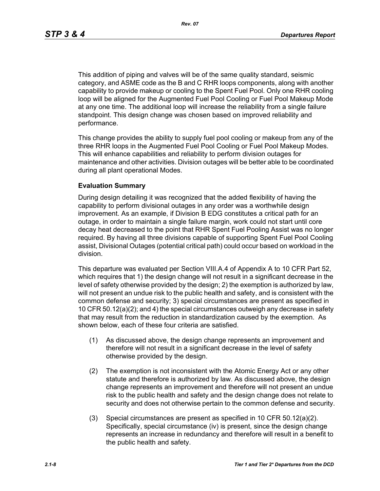This addition of piping and valves will be of the same quality standard, seismic category, and ASME code as the B and C RHR loops components, along with another capability to provide makeup or cooling to the Spent Fuel Pool. Only one RHR cooling loop will be aligned for the Augmented Fuel Pool Cooling or Fuel Pool Makeup Mode at any one time. The additional loop will increase the reliability from a single failure standpoint. This design change was chosen based on improved reliability and performance.

This change provides the ability to supply fuel pool cooling or makeup from any of the three RHR loops in the Augmented Fuel Pool Cooling or Fuel Pool Makeup Modes. This will enhance capabilities and reliability to perform division outages for maintenance and other activities. Division outages will be better able to be coordinated during all plant operational Modes.

#### **Evaluation Summary**

During design detailing it was recognized that the added flexibility of having the capability to perform divisional outages in any order was a worthwhile design improvement. As an example, if Division B EDG constitutes a critical path for an outage, in order to maintain a single failure margin, work could not start until core decay heat decreased to the point that RHR Spent Fuel Pooling Assist was no longer required. By having all three divisions capable of supporting Spent Fuel Pool Cooling assist, Divisional Outages (potential critical path) could occur based on workload in the division.

This departure was evaluated per Section VIII.A.4 of Appendix A to 10 CFR Part 52, which requires that 1) the design change will not result in a significant decrease in the level of safety otherwise provided by the design; 2) the exemption is authorized by law, will not present an undue risk to the public health and safety, and is consistent with the common defense and security; 3) special circumstances are present as specified in 10 CFR 50.12(a)(2); and 4) the special circumstances outweigh any decrease in safety that may result from the reduction in standardization caused by the exemption. As shown below, each of these four criteria are satisfied.

- (1) As discussed above, the design change represents an improvement and therefore will not result in a significant decrease in the level of safety otherwise provided by the design.
- (2) The exemption is not inconsistent with the Atomic Energy Act or any other statute and therefore is authorized by law. As discussed above, the design change represents an improvement and therefore will not present an undue risk to the public health and safety and the design change does not relate to security and does not otherwise pertain to the common defense and security.
- (3) Special circumstances are present as specified in 10 CFR 50.12(a)(2). Specifically, special circumstance (iv) is present, since the design change represents an increase in redundancy and therefore will result in a benefit to the public health and safety.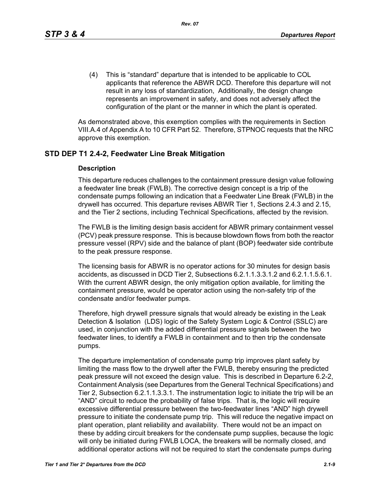(4) This is "standard" departure that is intended to be applicable to COL applicants that reference the ABWR DCD. Therefore this departure will not result in any loss of standardization, Additionally, the design change represents an improvement in safety, and does not adversely affect the configuration of the plant or the manner in which the plant is operated.

As demonstrated above, this exemption complies with the requirements in Section VIII.A.4 of Appendix A to 10 CFR Part 52. Therefore, STPNOC requests that the NRC approve this exemption.

# **STD DEP T1 2.4-2, Feedwater Line Break Mitigation**

#### **Description**

This departure reduces challenges to the containment pressure design value following a feedwater line break (FWLB). The corrective design concept is a trip of the condensate pumps following an indication that a Feedwater Line Break (FWLB) in the drywell has occurred. This departure revises ABWR Tier 1, Sections 2.4.3 and 2.15, and the Tier 2 sections, including Technical Specifications, affected by the revision.

The FWLB is the limiting design basis accident for ABWR primary containment vessel (PCV) peak pressure response. This is because blowdown flows from both the reactor pressure vessel (RPV) side and the balance of plant (BOP) feedwater side contribute to the peak pressure response.

The licensing basis for ABWR is no operator actions for 30 minutes for design basis accidents, as discussed in DCD Tier 2, Subsections 6.2.1.1.3.3.1.2 and 6.2.1.1.5.6.1. With the current ABWR design, the only mitigation option available, for limiting the containment pressure, would be operator action using the non-safety trip of the condensate and/or feedwater pumps.

Therefore, high drywell pressure signals that would already be existing in the Leak Detection & Isolation (LDS) logic of the Safety System Logic & Control (SSLC) are used, in conjunction with the added differential pressure signals between the two feedwater lines, to identify a FWLB in containment and to then trip the condensate pumps.

The departure implementation of condensate pump trip improves plant safety by limiting the mass flow to the drywell after the FWLB, thereby ensuring the predicted peak pressure will not exceed the design value. This is described in Departure 6.2-2, Containment Analysis (see Departures from the General Technical Specifications) and Tier 2, Subsection 6.2.1.1.3.3.1. The instrumentation logic to initiate the trip will be an "AND" circuit to reduce the probability of false trips. That is, the logic will require excessive differential pressure between the two-feedwater lines "AND" high drywell pressure to initiate the condensate pump trip. This will reduce the negative impact on plant operation, plant reliability and availability. There would not be an impact on these by adding circuit breakers for the condensate pump supplies, because the logic will only be initiated during FWLB LOCA, the breakers will be normally closed, and additional operator actions will not be required to start the condensate pumps during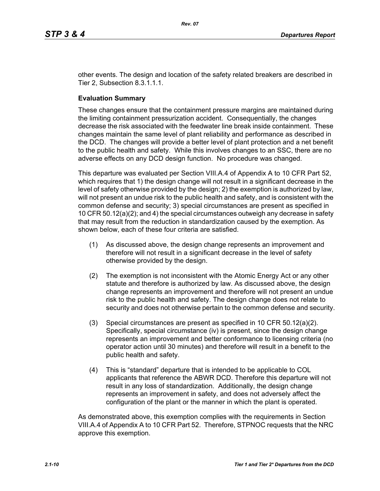other events. The design and location of the safety related breakers are described in Tier 2, Subsection 8.3.1.1.1.

#### **Evaluation Summary**

These changes ensure that the containment pressure margins are maintained during the limiting containment pressurization accident. Consequentially, the changes decrease the risk associated with the feedwater line break inside containment. These changes maintain the same level of plant reliability and performance as described in the DCD. The changes will provide a better level of plant protection and a net benefit to the public health and safety. While this involves changes to an SSC, there are no adverse effects on any DCD design function. No procedure was changed.

This departure was evaluated per Section VIII.A.4 of Appendix A to 10 CFR Part 52, which requires that 1) the design change will not result in a significant decrease in the level of safety otherwise provided by the design; 2) the exemption is authorized by law, will not present an undue risk to the public health and safety, and is consistent with the common defense and security; 3) special circumstances are present as specified in 10 CFR 50.12(a)(2); and 4) the special circumstances outweigh any decrease in safety that may result from the reduction in standardization caused by the exemption. As shown below, each of these four criteria are satisfied.

- (1) As discussed above, the design change represents an improvement and therefore will not result in a significant decrease in the level of safety otherwise provided by the design.
- (2) The exemption is not inconsistent with the Atomic Energy Act or any other statute and therefore is authorized by law. As discussed above, the design change represents an improvement and therefore will not present an undue risk to the public health and safety. The design change does not relate to security and does not otherwise pertain to the common defense and security.
- (3) Special circumstances are present as specified in 10 CFR 50.12(a)(2). Specifically, special circumstance (iv) is present, since the design change represents an improvement and better conformance to licensing criteria (no operator action until 30 minutes) and therefore will result in a benefit to the public health and safety.
- (4) This is "standard" departure that is intended to be applicable to COL applicants that reference the ABWR DCD. Therefore this departure will not result in any loss of standardization. Additionally, the design change represents an improvement in safety, and does not adversely affect the configuration of the plant or the manner in which the plant is operated.

As demonstrated above, this exemption complies with the requirements in Section VIII.A.4 of Appendix A to 10 CFR Part 52. Therefore, STPNOC requests that the NRC approve this exemption.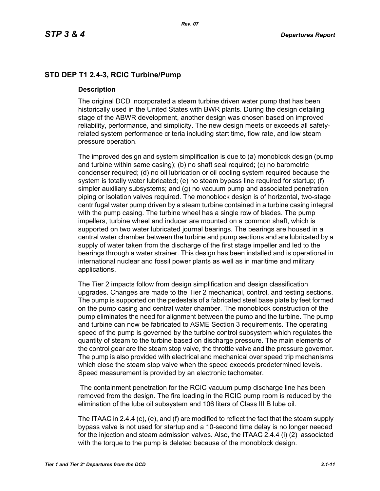# **STD DEP T1 2.4-3, RCIC Turbine/Pump**

#### **Description**

The original DCD incorporated a steam turbine driven water pump that has been historically used in the United States with BWR plants. During the design detailing stage of the ABWR development, another design was chosen based on improved reliability, performance, and simplicity. The new design meets or exceeds all safetyrelated system performance criteria including start time, flow rate, and low steam pressure operation.

The improved design and system simplification is due to (a) monoblock design (pump and turbine within same casing); (b) no shaft seal required; (c) no barometric condenser required; (d) no oil lubrication or oil cooling system required because the system is totally water lubricated; (e) no steam bypass line required for startup; (f) simpler auxiliary subsystems; and (g) no vacuum pump and associated penetration piping or isolation valves required. The monoblock design is of horizontal, two-stage centrifugal water pump driven by a steam turbine contained in a turbine casing integral with the pump casing. The turbine wheel has a single row of blades. The pump impellers, turbine wheel and inducer are mounted on a common shaft, which is supported on two water lubricated journal bearings. The bearings are housed in a central water chamber between the turbine and pump sections and are lubricated by a supply of water taken from the discharge of the first stage impeller and led to the bearings through a water strainer. This design has been installed and is operational in international nuclear and fossil power plants as well as in maritime and military applications.

The Tier 2 impacts follow from design simplification and design classification upgrades. Changes are made to the Tier 2 mechanical, control, and testing sections. The pump is supported on the pedestals of a fabricated steel base plate by feet formed on the pump casing and central water chamber. The monoblock construction of the pump eliminates the need for alignment between the pump and the turbine. The pump and turbine can now be fabricated to ASME Section 3 requirements. The operating speed of the pump is governed by the turbine control subsystem which regulates the quantity of steam to the turbine based on discharge pressure. The main elements of the control gear are the steam stop valve, the throttle valve and the pressure governor. The pump is also provided with electrical and mechanical over speed trip mechanisms which close the steam stop valve when the speed exceeds predetermined levels. Speed measurement is provided by an electronic tachometer.

 The containment penetration for the RCIC vacuum pump discharge line has been removed from the design. The fire loading in the RCIC pump room is reduced by the elimination of the lube oil subsystem and 106 liters of Class III B lube oil.

The ITAAC in 2.4.4 (c), (e), and (f) are modified to reflect the fact that the steam supply bypass valve is not used for startup and a 10-second time delay is no longer needed for the injection and steam admission valves. Also, the ITAAC 2.4.4 (i) (2) associated with the torque to the pump is deleted because of the monoblock design.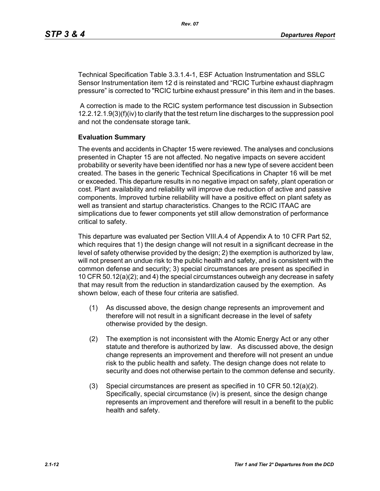Technical Specification Table 3.3.1.4-1, ESF Actuation Instrumentation and SSLC Sensor Instrumentation item 12 d is reinstated and "RCIC Turbine exhaust diaphragm pressure" is corrected to "RCIC turbine exhaust pressure" in this item and in the bases.

 A correction is made to the RCIC system performance test discussion in Subsection 12.2.12.1.9(3)(f)(iv) to clarify that the test return line discharges to the suppression pool and not the condensate storage tank.

#### **Evaluation Summary**

The events and accidents in Chapter 15 were reviewed. The analyses and conclusions presented in Chapter 15 are not affected. No negative impacts on severe accident probability or severity have been identified nor has a new type of severe accident been created. The bases in the generic Technical Specifications in Chapter 16 will be met or exceeded. This departure results in no negative impact on safety, plant operation or cost. Plant availability and reliability will improve due reduction of active and passive components. Improved turbine reliability will have a positive effect on plant safety as well as transient and startup characteristics. Changes to the RCIC ITAAC are simplications due to fewer components yet still allow demonstration of performance critical to safety.

This departure was evaluated per Section VIII.A.4 of Appendix A to 10 CFR Part 52, which requires that 1) the design change will not result in a significant decrease in the level of safety otherwise provided by the design; 2) the exemption is authorized by law, will not present an undue risk to the public health and safety, and is consistent with the common defense and security; 3) special circumstances are present as specified in 10 CFR 50.12(a)(2); and 4) the special circumstances outweigh any decrease in safety that may result from the reduction in standardization caused by the exemption. As shown below, each of these four criteria are satisfied.

- (1) As discussed above, the design change represents an improvement and therefore will not result in a significant decrease in the level of safety otherwise provided by the design.
- (2) The exemption is not inconsistent with the Atomic Energy Act or any other statute and therefore is authorized by law. As discussed above, the design change represents an improvement and therefore will not present an undue risk to the public health and safety. The design change does not relate to security and does not otherwise pertain to the common defense and security.
- (3) Special circumstances are present as specified in 10 CFR 50.12(a)(2). Specifically, special circumstance (iv) is present, since the design change represents an improvement and therefore will result in a benefit to the public health and safety.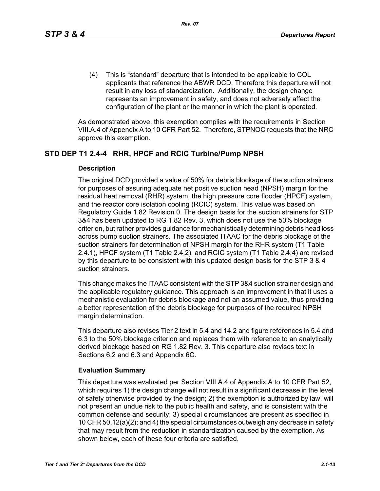(4) This is "standard" departure that is intended to be applicable to COL applicants that reference the ABWR DCD. Therefore this departure will not result in any loss of standardization. Additionally, the design change represents an improvement in safety, and does not adversely affect the configuration of the plant or the manner in which the plant is operated.

As demonstrated above, this exemption complies with the requirements in Section VIII.A.4 of Appendix A to 10 CFR Part 52. Therefore, STPNOC requests that the NRC approve this exemption.

# **STD DEP T1 2.4-4 RHR, HPCF and RCIC Turbine/Pump NPSH**

#### **Description**

The original DCD provided a value of 50% for debris blockage of the suction strainers for purposes of assuring adequate net positive suction head (NPSH) margin for the residual heat removal (RHR) system, the high pressure core flooder (HPCF) system, and the reactor core isolation cooling (RCIC) system. This value was based on Regulatory Guide 1.82 Revision 0. The design basis for the suction strainers for STP 3&4 has been updated to RG 1.82 Rev. 3, which does not use the 50% blockage criterion, but rather provides guidance for mechanistically determining debris head loss across pump suction strainers. The associated ITAAC for the debris blockage of the suction strainers for determination of NPSH margin for the RHR system (T1 Table 2.4.1), HPCF system (T1 Table 2.4.2), and RCIC system (T1 Table 2.4.4) are revised by this departure to be consistent with this updated design basis for the STP 3 & 4 suction strainers.

This change makes the ITAAC consistent with the STP 3&4 suction strainer design and the applicable regulatory guidance. This approach is an improvement in that it uses a mechanistic evaluation for debris blockage and not an assumed value, thus providing a better representation of the debris blockage for purposes of the required NPSH margin determination.

This departure also revises Tier 2 text in 5.4 and 14.2 and figure references in 5.4 and 6.3 to the 50% blockage criterion and replaces them with reference to an analytically derived blockage based on RG 1.82 Rev. 3. This departure also revises text in Sections 6.2 and 6.3 and Appendix 6C.

## **Evaluation Summary**

This departure was evaluated per Section VIII.A.4 of Appendix A to 10 CFR Part 52, which requires 1) the design change will not result in a significant decrease in the level of safety otherwise provided by the design; 2) the exemption is authorized by law, will not present an undue risk to the public health and safety, and is consistent with the common defense and security; 3) special circumstances are present as specified in 10 CFR 50.12(a)(2); and 4) the special circumstances outweigh any decrease in safety that may result from the reduction in standardization caused by the exemption. As shown below, each of these four criteria are satisfied.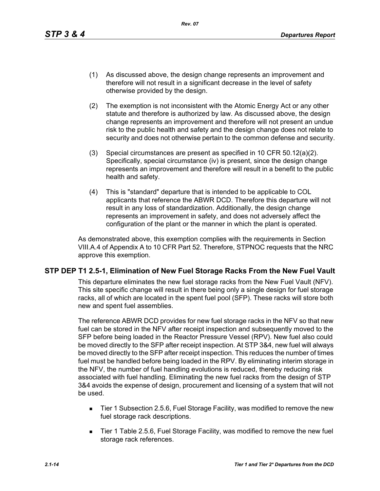- (1) As discussed above, the design change represents an improvement and therefore will not result in a significant decrease in the level of safety otherwise provided by the design.
- (2) The exemption is not inconsistent with the Atomic Energy Act or any other statute and therefore is authorized by law. As discussed above, the design change represents an improvement and therefore will not present an undue risk to the public health and safety and the design change does not relate to security and does not otherwise pertain to the common defense and security.
- (3) Special circumstances are present as specified in 10 CFR 50.12(a)(2). Specifically, special circumstance (iv) is present, since the design change represents an improvement and therefore will result in a benefit to the public health and safety.
- (4) This is "standard" departure that is intended to be applicable to COL applicants that reference the ABWR DCD. Therefore this departure will not result in any loss of standardization. Additionally, the design change represents an improvement in safety, and does not adversely affect the configuration of the plant or the manner in which the plant is operated.

As demonstrated above, this exemption complies with the requirements in Section VIII.A.4 of Appendix A to 10 CFR Part 52. Therefore, STPNOC requests that the NRC approve this exemption.

## **STP DEP T1 2.5-1, Elimination of New Fuel Storage Racks From the New Fuel Vault**

This departure eliminates the new fuel storage racks from the New Fuel Vault (NFV). This site specific change will result in there being only a single design for fuel storage racks, all of which are located in the spent fuel pool (SFP). These racks will store both new and spent fuel assemblies.

The reference ABWR DCD provides for new fuel storage racks in the NFV so that new fuel can be stored in the NFV after receipt inspection and subsequently moved to the SFP before being loaded in the Reactor Pressure Vessel (RPV). New fuel also could be moved directly to the SFP after receipt inspection. At STP 3&4, new fuel will always be moved directly to the SFP after receipt inspection. This reduces the number of times fuel must be handled before being loaded in the RPV. By eliminating interim storage in the NFV, the number of fuel handling evolutions is reduced, thereby reducing risk associated with fuel handling. Eliminating the new fuel racks from the design of STP 3&4 avoids the expense of design, procurement and licensing of a system that will not be used.

- Tier 1 Subsection 2.5.6, Fuel Storage Facility, was modified to remove the new fuel storage rack descriptions.
- Tier 1 Table 2.5.6, Fuel Storage Facility, was modified to remove the new fuel storage rack references.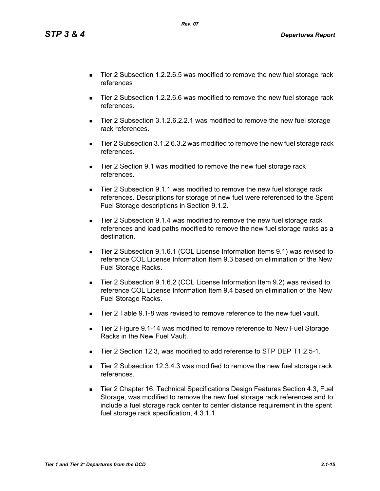*Tier 1 and Tier 2\* Departures from the DCD 2.1-15*

- Tier 2 Subsection 1.2.2.6.5 was modified to remove the new fuel storage rack references
- Tier 2 Subsection 1.2.2.6.6 was modified to remove the new fuel storage rack references.
- Tier 2 Subsection 3.1.2.6.2.2.1 was modified to remove the new fuel storage rack references.
- Tier 2 Subsection 3.1.2.6.3.2 was modified to remove the new fuel storage rack references.
- Tier 2 Section 9.1 was modified to remove the new fuel storage rack references.
- Tier 2 Subsection 9.1.1 was modified to remove the new fuel storage rack references. Descriptions for storage of new fuel were referenced to the Spent Fuel Storage descriptions in Section 9.1.2.
- Tier 2 Subsection 9.1.4 was modified to remove the new fuel storage rack references and load paths modified to remove the new fuel storage racks as a destination.
- Tier 2 Subsection 9.1.6.1 (COL License Information Items 9.1) was revised to reference COL License Information Item 9.3 based on elimination of the New Fuel Storage Racks.
- Tier 2 Subsection 9.1.6.2 (COL License Information Item 9.2) was revised to reference COL License Information Item 9.4 based on elimination of the New Fuel Storage Racks.
- Tier 2 Table 9.1-8 was revised to remove reference to the new fuel vault.
- Tier 2 Figure 9.1-14 was modified to remove reference to New Fuel Storage Racks in the New Fuel Vault.
- Tier 2 Section 12.3, was modified to add reference to STP DEP T1 2.5-1.
- Tier 2 Subsection 12.3.4.3 was modified to remove the new fuel storage rack references.
- Tier 2 Chapter 16, Technical Specifications Design Features Section 4.3, Fuel Storage, was modified to remove the new fuel storage rack references and to include a fuel storage rack center to center distance requirement in the spent fuel storage rack specification, 4.3.1.1.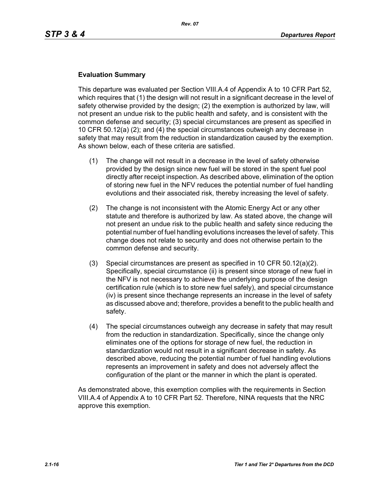## **Evaluation Summary**

This departure was evaluated per Section VIII.A.4 of Appendix A to 10 CFR Part 52, which requires that (1) the design will not result in a significant decrease in the level of safety otherwise provided by the design; (2) the exemption is authorized by law, will not present an undue risk to the public health and safety, and is consistent with the common defense and security; (3) special circumstances are present as specified in 10 CFR 50.12(a) (2); and (4) the special circumstances outweigh any decrease in safety that may result from the reduction in standardization caused by the exemption. As shown below, each of these criteria are satisfied.

- (1) The change will not result in a decrease in the level of safety otherwise provided by the design since new fuel will be stored in the spent fuel pool directly after receipt inspection. As described above, elimination of the option of storing new fuel in the NFV reduces the potential number of fuel handling evolutions and their associated risk, thereby increasing the level of safety.
- (2) The change is not inconsistent with the Atomic Energy Act or any other statute and therefore is authorized by law. As stated above, the change will not present an undue risk to the public health and safety since reducing the potential number of fuel handling evolutions increases the level of safety. This change does not relate to security and does not otherwise pertain to the common defense and security.
- (3) Special circumstances are present as specified in 10 CFR 50.12(a)(2). Specifically, special circumstance (ii) is present since storage of new fuel in the NFV is not necessary to achieve the underlying purpose of the design certification rule (which is to store new fuel safely), and special circumstance (iv) is present since thechange represents an increase in the level of safety as discussed above and; therefore, provides a benefit to the public health and safety.
- (4) The special circumstances outweigh any decrease in safety that may result from the reduction in standardization. Specifically, since the change only eliminates one of the options for storage of new fuel, the reduction in standardization would not result in a significant decrease in safety. As described above, reducing the potential number of fuel handling evolutions represents an improvement in safety and does not adversely affect the configuration of the plant or the manner in which the plant is operated.

As demonstrated above, this exemption complies with the requirements in Section VIII.A.4 of Appendix A to 10 CFR Part 52. Therefore, NINA requests that the NRC approve this exemption.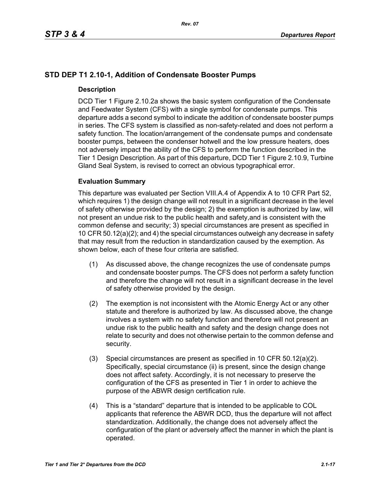# **STD DEP T1 2.10-1, Addition of Condensate Booster Pumps**

## **Description**

DCD Tier 1 Figure 2.10.2a shows the basic system configuration of the Condensate and Feedwater System (CFS) with a single symbol for condensate pumps. This departure adds a second symbol to indicate the addition of condensate booster pumps in series. The CFS system is classified as non-safety-related and does not perform a safety function. The location/arrangement of the condensate pumps and condensate booster pumps, between the condenser hotwell and the low pressure heaters, does not adversely impact the ability of the CFS to perform the function described in the Tier 1 Design Description. As part of this departure, DCD Tier 1 Figure 2.10.9, Turbine Gland Seal System, is revised to correct an obvious typographical error.

## **Evaluation Summary**

This departure was evaluated per Section VIII.A.4 of Appendix A to 10 CFR Part 52, which requires 1) the design change will not result in a significant decrease in the level of safety otherwise provided by the design; 2) the exemption is authorized by law, will not present an undue risk to the public health and safety,and is consistent with the common defense and security; 3) special circumstances are present as specified in 10 CFR 50.12(a)(2); and 4) the special circumstances outweigh any decrease in safety that may result from the reduction in standardization caused by the exemption. As shown below, each of these four criteria are satisfied.

- (1) As discussed above, the change recognizes the use of condensate pumps and condensate booster pumps. The CFS does not perform a safety function and therefore the change will not result in a significant decrease in the level of safety otherwise provided by the design.
- (2) The exemption is not inconsistent with the Atomic Energy Act or any other statute and therefore is authorized by law. As discussed above, the change involves a system with no safety function and therefore will not present an undue risk to the public health and safety and the design change does not relate to security and does not otherwise pertain to the common defense and security.
- (3) Special circumstances are present as specified in 10 CFR 50.12(a)(2). Specifically, special circumstance (ii) is present, since the design change does not affect safety. Accordingly, it is not necessary to preserve the configuration of the CFS as presented in Tier 1 in order to achieve the purpose of the ABWR design certification rule.
- (4) This is a "standard" departure that is intended to be applicable to COL applicants that reference the ABWR DCD, thus the departure will not affect standardization. Additionally, the change does not adversely affect the configuration of the plant or adversely affect the manner in which the plant is operated.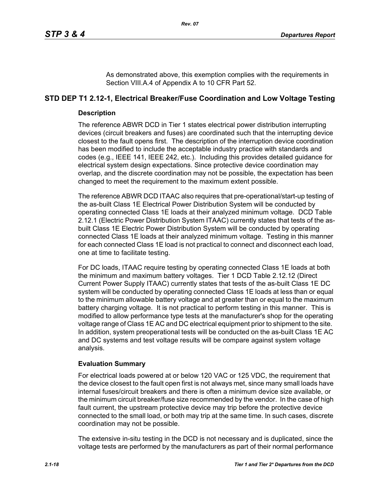As demonstrated above, this exemption complies with the requirements in Section VIII.A.4 of Appendix A to 10 CFR Part 52.

# **STD DEP T1 2.12-1, Electrical Breaker/Fuse Coordination and Low Voltage Testing**

## **Description**

The reference ABWR DCD in Tier 1 states electrical power distribution interrupting devices (circuit breakers and fuses) are coordinated such that the interrupting device closest to the fault opens first. The description of the interruption device coordination has been modified to include the acceptable industry practice with standards and codes (e.g., IEEE 141, IEEE 242, etc.). Including this provides detailed guidance for electrical system design expectations. Since protective device coordination may overlap, and the discrete coordination may not be possible, the expectation has been changed to meet the requirement to the maximum extent possible.

The reference ABWR DCD ITAAC also requires that pre-operational/start-up testing of the as-built Class 1E Electrical Power Distribution System will be conducted by operating connected Class 1E loads at their analyzed minimum voltage. DCD Table 2.12.1 (Electric Power Distribution System ITAAC) currently states that tests of the asbuilt Class 1E Electric Power Distribution System will be conducted by operating connected Class 1E loads at their analyzed minimum voltage. Testing in this manner for each connected Class 1E load is not practical to connect and disconnect each load, one at time to facilitate testing.

For DC loads, ITAAC require testing by operating connected Class 1E loads at both the minimum and maximum battery voltages. Tier 1 DCD Table 2.12.12 (Direct Current Power Supply ITAAC) currently states that tests of the as-built Class 1E DC system will be conducted by operating connected Class 1E loads at less than or equal to the minimum allowable battery voltage and at greater than or equal to the maximum battery charging voltage. It is not practical to perform testing in this manner. This is modified to allow performance type tests at the manufacturer's shop for the operating voltage range of Class 1E AC and DC electrical equipment prior to shipment to the site. In addition, system preoperational tests will be conducted on the as-built Class 1E AC and DC systems and test voltage results will be compare against system voltage analysis.

# **Evaluation Summary**

For electrical loads powered at or below 120 VAC or 125 VDC, the requirement that the device closest to the fault open first is not always met, since many small loads have internal fuses/circuit breakers and there is often a minimum device size available, or the minimum circuit breaker/fuse size recommended by the vendor. In the case of high fault current, the upstream protective device may trip before the protective device connected to the small load, or both may trip at the same time. In such cases, discrete coordination may not be possible.

The extensive in-situ testing in the DCD is not necessary and is duplicated, since the voltage tests are performed by the manufacturers as part of their normal performance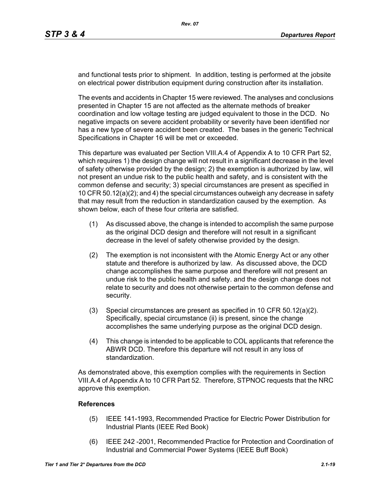and functional tests prior to shipment. In addition, testing is performed at the jobsite on electrical power distribution equipment during construction after its installation.

The events and accidents in Chapter 15 were reviewed. The analyses and conclusions presented in Chapter 15 are not affected as the alternate methods of breaker coordination and low voltage testing are judged equivalent to those in the DCD. No negative impacts on severe accident probability or severity have been identified nor has a new type of severe accident been created. The bases in the generic Technical Specifications in Chapter 16 will be met or exceeded.

This departure was evaluated per Section VIII.A.4 of Appendix A to 10 CFR Part 52, which requires 1) the design change will not result in a significant decrease in the level of safety otherwise provided by the design; 2) the exemption is authorized by law, will not present an undue risk to the public health and safety, and is consistent with the common defense and security; 3) special circumstances are present as specified in 10 CFR 50.12(a)(2); and 4) the special circumstances outweigh any decrease in safety that may result from the reduction in standardization caused by the exemption. As shown below, each of these four criteria are satisfied.

- (1) As discussed above, the change is intended to accomplish the same purpose as the original DCD design and therefore will not result in a significant decrease in the level of safety otherwise provided by the design.
- (2) The exemption is not inconsistent with the Atomic Energy Act or any other statute and therefore is authorized by law. As discussed above, the DCD change accomplishes the same purpose and therefore will not present an undue risk to the public health and safety. and the design change does not relate to security and does not otherwise pertain to the common defense and security.
- (3) Special circumstances are present as specified in 10 CFR 50.12(a)(2). Specifically, special circumstance (ii) is present, since the change accomplishes the same underlying purpose as the original DCD design.
- (4) This change is intended to be applicable to COL applicants that reference the ABWR DCD. Therefore this departure will not result in any loss of standardization.

As demonstrated above, this exemption complies with the requirements in Section VIII.A.4 of Appendix A to 10 CFR Part 52. Therefore, STPNOC requests that the NRC approve this exemption.

## **References**

- (5) IEEE 141-1993, Recommended Practice for Electric Power Distribution for Industrial Plants (IEEE Red Book)
- (6) IEEE 242 -2001, Recommended Practice for Protection and Coordination of Industrial and Commercial Power Systems (IEEE Buff Book)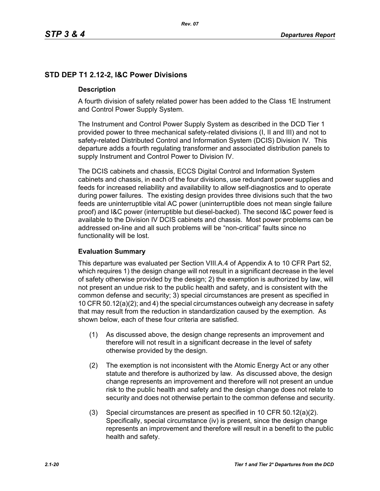# **STD DEP T1 2.12-2, I&C Power Divisions**

## **Description**

A fourth division of safety related power has been added to the Class 1E Instrument and Control Power Supply System.

The Instrument and Control Power Supply System as described in the DCD Tier 1 provided power to three mechanical safety-related divisions (I, II and III) and not to safety-related Distributed Control and Information System (DCIS) Division IV. This departure adds a fourth regulating transformer and associated distribution panels to supply Instrument and Control Power to Division IV.

The DCIS cabinets and chassis, ECCS Digital Control and Information System cabinets and chassis, in each of the four divisions, use redundant power supplies and feeds for increased reliability and availability to allow self-diagnostics and to operate during power failures. The existing design provides three divisions such that the two feeds are uninterruptible vital AC power (uninterruptible does not mean single failure proof) and I&C power (interruptible but diesel-backed). The second I&C power feed is available to the Division IV DCIS cabinets and chassis. Most power problems can be addressed on-line and all such problems will be "non-critical" faults since no functionality will be lost.

## **Evaluation Summary**

This departure was evaluated per Section VIII.A.4 of Appendix A to 10 CFR Part 52, which requires 1) the design change will not result in a significant decrease in the level of safety otherwise provided by the design; 2) the exemption is authorized by law, will not present an undue risk to the public health and safety, and is consistent with the common defense and security; 3) special circumstances are present as specified in 10 CFR 50.12(a)(2); and 4) the special circumstances outweigh any decrease in safety that may result from the reduction in standardization caused by the exemption. As shown below, each of these four criteria are satisfied.

- (1) As discussed above, the design change represents an improvement and therefore will not result in a significant decrease in the level of safety otherwise provided by the design.
- (2) The exemption is not inconsistent with the Atomic Energy Act or any other statute and therefore is authorized by law. As discussed above, the design change represents an improvement and therefore will not present an undue risk to the public health and safety and the design change does not relate to security and does not otherwise pertain to the common defense and security.
- (3) Special circumstances are present as specified in 10 CFR 50.12(a)(2). Specifically, special circumstance (iv) is present, since the design change represents an improvement and therefore will result in a benefit to the public health and safety.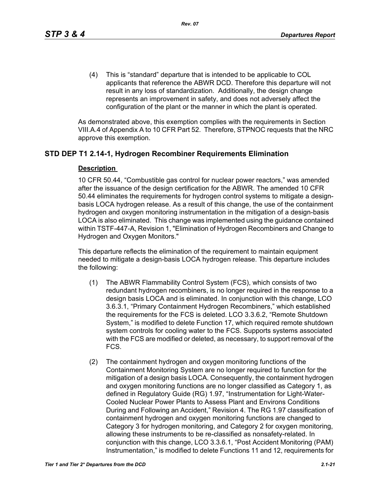(4) This is "standard" departure that is intended to be applicable to COL applicants that reference the ABWR DCD. Therefore this departure will not result in any loss of standardization. Additionally, the design change represents an improvement in safety, and does not adversely affect the configuration of the plant or the manner in which the plant is operated.

As demonstrated above, this exemption complies with the requirements in Section VIII.A.4 of Appendix A to 10 CFR Part 52. Therefore, STPNOC requests that the NRC approve this exemption.

# **STD DEP T1 2.14-1, Hydrogen Recombiner Requirements Elimination**

#### **Description**

10 CFR 50.44, "Combustible gas control for nuclear power reactors," was amended after the issuance of the design certification for the ABWR. The amended 10 CFR 50.44 eliminates the requirements for hydrogen control systems to mitigate a designbasis LOCA hydrogen release. As a result of this change, the use of the containment hydrogen and oxygen monitoring instrumentation in the mitigation of a design-basis LOCA is also eliminated. This change was implemented using the guidance contained within TSTF-447-A, Revision 1, "Elimination of Hydrogen Recombiners and Change to Hydrogen and Oxygen Monitors."

This departure reflects the elimination of the requirement to maintain equipment needed to mitigate a design-basis LOCA hydrogen release. This departure includes the following:

- (1) The ABWR Flammability Control System (FCS), which consists of two redundant hydrogen recombiners, is no longer required in the response to a design basis LOCA and is eliminated. In conjunction with this change, LCO 3.6.3.1, "Primary Containment Hydrogen Recombiners," which established the requirements for the FCS is deleted. LCO 3.3.6.2, "Remote Shutdown System," is modified to delete Function 17, which required remote shutdown system controls for cooling water to the FCS. Supports systems associated with the FCS are modified or deleted, as necessary, to support removal of the FCS.
- (2) The containment hydrogen and oxygen monitoring functions of the Containment Monitoring System are no longer required to function for the mitigation of a design basis LOCA. Consequently, the containment hydrogen and oxygen monitoring functions are no longer classified as Category 1, as defined in Regulatory Guide (RG) 1.97, "Instrumentation for Light-Water-Cooled Nuclear Power Plants to Assess Plant and Environs Conditions During and Following an Accident," Revision 4. The RG 1.97 classification of containment hydrogen and oxygen monitoring functions are changed to Category 3 for hydrogen monitoring, and Category 2 for oxygen monitoring, allowing these instruments to be re-classified as nonsafety-related. In conjunction with this change, LCO 3.3.6.1, "Post Accident Monitoring (PAM) Instrumentation," is modified to delete Functions 11 and 12, requirements for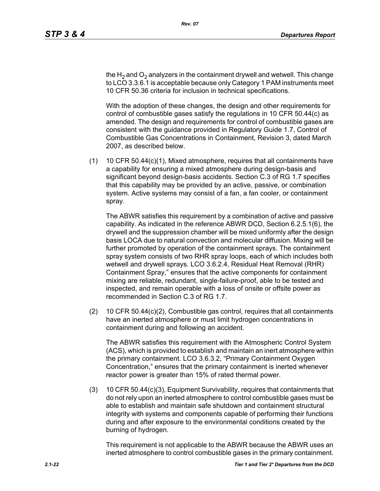the H<sub>2</sub> and O<sub>2</sub> analyzers in the containment drywell and wetwell. This change to LCO 3.3.6.1 is acceptable because only Category 1 PAM instruments meet 10 CFR 50.36 criteria for inclusion in technical specifications.

With the adoption of these changes, the design and other requirements for control of combustible gases satisfy the regulations in 10 CFR 50.44(c) as amended. The design and requirements for control of combustible gases are consistent with the guidance provided in Regulatory Guide 1.7, Control of Combustible Gas Concentrations in Containment, Revision 3, dated March 2007, as described below.

(1) 10 CFR 50.44(c)(1), Mixed atmosphere, requires that all containments have a capability for ensuring a mixed atmosphere during design-basis and significant beyond design-basis accidents. Section C.3 of RG 1.7 specifies that this capability may be provided by an active, passive, or combination system. Active systems may consist of a fan, a fan cooler, or containment spray.

The ABWR satisfies this requirement by a combination of active and passive capability. As indicated in the reference ABWR DCD, Section 6.2.5.1(6), the drywell and the suppression chamber will be mixed uniformly after the design basis LOCA due to natural convection and molecular diffusion. Mixing will be further promoted by operation of the containment sprays. The containment spray system consists of two RHR spray loops, each of which includes both wetwell and drywell sprays. LCO 3.6.2.4, Residual Heat Removal (RHR) Containment Spray," ensures that the active components for containment mixing are reliable, redundant, single-failure-proof, able to be tested and inspected, and remain operable with a loss of onsite or offsite power as recommended in Section C.3 of RG 1.7.

(2) 10 CFR 50.44(c)(2), Combustible gas control, requires that all containments have an inerted atmosphere or must limit hydrogen concentrations in containment during and following an accident.

The ABWR satisfies this requirement with the Atmospheric Control System (ACS), which is provided to establish and maintain an inert atmosphere within the primary containment. LCO 3.6.3.2, "Primary Containment Oxygen Concentration," ensures that the primary containment is inerted whenever reactor power is greater than 15% of rated thermal power.

(3) 10 CFR 50.44(c)(3), Equipment Survivability, requires that containments that do not rely upon an inerted atmosphere to control combustible gases must be able to establish and maintain safe shutdown and containment structural integrity with systems and components capable of performing their functions during and after exposure to the environmental conditions created by the burning of hydrogen.

This requirement is not applicable to the ABWR because the ABWR uses an inerted atmosphere to control combustible gases in the primary containment.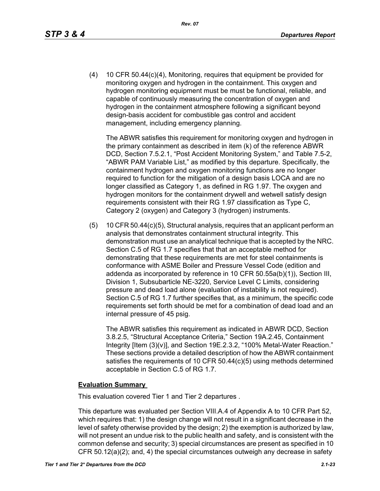(4) 10 CFR 50.44(c)(4), Monitoring, requires that equipment be provided for monitoring oxygen and hydrogen in the containment. This oxygen and hydrogen monitoring equipment must be must be functional, reliable, and capable of continuously measuring the concentration of oxygen and hydrogen in the containment atmosphere following a significant beyond design-basis accident for combustible gas control and accident management, including emergency planning.

The ABWR satisfies this requirement for monitoring oxygen and hydrogen in the primary containment as described in item (k) of the reference ABWR DCD, Section 7.5.2.1, "Post Accident Monitoring System," and Table 7.5-2, "ABWR PAM Variable List," as modified by this departure. Specifically, the containment hydrogen and oxygen monitoring functions are no longer required to function for the mitigation of a design basis LOCA and are no longer classified as Category 1, as defined in RG 1.97. The oxygen and hydrogen monitors for the containment drywell and wetwell satisfy design requirements consistent with their RG 1.97 classification as Type C, Category 2 (oxygen) and Category 3 (hydrogen) instruments.

(5) 10 CFR 50.44(c)(5), Structural analysis, requires that an applicant perform an analysis that demonstrates containment structural integrity. This demonstration must use an analytical technique that is accepted by the NRC. Section C.5 of RG 1.7 specifies that that an acceptable method for demonstrating that these requirements are met for steel containments is conformance with ASME Boiler and Pressure Vessel Code (edition and addenda as incorporated by reference in 10 CFR 50.55a(b)(1)), Section III, Division 1, Subsubarticle NE-3220, Service Level C Limits, considering pressure and dead load alone (evaluation of instability is not required). Section C.5 of RG 1.7 further specifies that, as a minimum, the specific code requirements set forth should be met for a combination of dead load and an internal pressure of 45 psig.

The ABWR satisfies this requirement as indicated in ABWR DCD, Section 3.8.2.5, "Structural Acceptance Criteria," Section 19A.2.45, Containment Integrity [Item (3)(v)], and Section 19E.2.3.2, "100% Metal-Water Reaction." These sections provide a detailed description of how the ABWR containment satisfies the requirements of 10 CFR 50.44(c)(5) using methods determined acceptable in Section C.5 of RG 1.7.

#### **Evaluation Summary**

This evaluation covered Tier 1 and Tier 2 departures .

This departure was evaluated per Section VIII.A.4 of Appendix A to 10 CFR Part 52, which requires that: 1) the design change will not result in a significant decrease in the level of safety otherwise provided by the design; 2) the exemption is authorized by law, will not present an undue risk to the public health and safety, and is consistent with the common defense and security; 3) special circumstances are present as specified in 10 CFR 50.12(a)(2); and, 4) the special circumstances outweigh any decrease in safety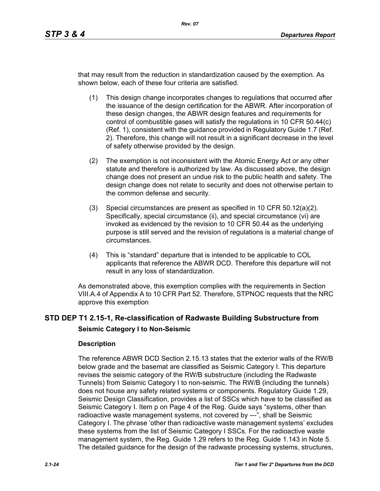that may result from the reduction in standardization caused by the exemption. As shown below, each of these four criteria are satisfied.

- (1) This design change incorporates changes to regulations that occurred after the issuance of the design certification for the ABWR. After incorporation of these design changes, the ABWR design features and requirements for control of combustible gases will satisfy the regulations in 10 CFR 50.44(c) (Ref. 1), consistent with the guidance provided in Regulatory Guide 1.7 (Ref. 2). Therefore, this change will not result in a significant decrease in the level of safety otherwise provided by the design.
- (2) The exemption is not inconsistent with the Atomic Energy Act or any other statute and therefore is authorized by law. As discussed above, the design change does not present an undue risk to the public health and safety. The design change does not relate to security and does not otherwise pertain to the common defense and security.
- (3) Special circumstances are present as specified in 10 CFR 50.12(a)(2). Specifically, special circumstance (ii), and special circumstance (vi) are invoked as evidenced by the revision to 10 CFR 50.44 as the underlying purpose is still served and the revision of regulations is a material change of circumstances.
- (4) This is "standard" departure that is intended to be applicable to COL applicants that reference the ABWR DCD. Therefore this departure will not result in any loss of standardization.

As demonstrated above, this exemption complies with the requirements in Section VIII.A.4 of Appendix A to 10 CFR Part 52. Therefore, STPNOC requests that the NRC approve this exemption

# **STD DEP T1 2.15-1, Re-classification of Radwaste Building Substructure from Seismic Category I to Non-Seismic**

#### **Description**

The reference ABWR DCD Section 2.15.13 states that the exterior walls of the RW/B below grade and the basemat are classified as Seismic Category I. This departure revises the seismic category of the RW/B substructure (including the Radwaste Tunnels) from Seismic Category I to non-seismic. The RW/B (including the tunnels) does not house any safety related systems or components. Regulatory Guide 1.29, Seismic Design Classification, provides a list of SSCs which have to be classified as Seismic Category I. Item p on Page 4 of the Reg. Guide says "systems, other than radioactive waste management systems, not covered by ---", shall be Seismic Category I. The phrase 'other than radioactive waste management systems' excludes these systems from the list of Seismic Category I SSCs. For the radioactive waste management system, the Reg. Guide 1.29 refers to the Reg. Guide 1.143 in Note 5. The detailed guidance for the design of the radwaste processing systems, structures,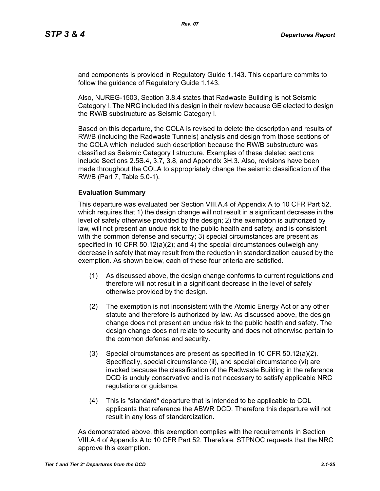and components is provided in Regulatory Guide 1.143. This departure commits to follow the guidance of Regulatory Guide 1.143.

Also, NUREG-1503, Section 3.8.4 states that Radwaste Building is not Seismic Category I. The NRC included this design in their review because GE elected to design the RW/B substructure as Seismic Category I.

Based on this departure, the COLA is revised to delete the description and results of RW/B (including the Radwaste Tunnels) analysis and design from those sections of the COLA which included such description because the RW/B substructure was classified as Seismic Category I structure. Examples of these deleted sections include Sections 2.5S.4, 3.7, 3.8, and Appendix 3H.3. Also, revisions have been made throughout the COLA to appropriately change the seismic classification of the RW/B (Part 7, Table 5.0-1).

#### **Evaluation Summary**

This departure was evaluated per Section VIII.A.4 of Appendix A to 10 CFR Part 52, which requires that 1) the design change will not result in a significant decrease in the level of safety otherwise provided by the design; 2) the exemption is authorized by law, will not present an undue risk to the public health and safety, and is consistent with the common defense and security; 3) special circumstances are present as specified in 10 CFR 50.12(a)(2); and 4) the special circumstances outweigh any decrease in safety that may result from the reduction in standardization caused by the exemption. As shown below, each of these four criteria are satisfied.

- (1) As discussed above, the design change conforms to current regulations and therefore will not result in a significant decrease in the level of safety otherwise provided by the design.
- (2) The exemption is not inconsistent with the Atomic Energy Act or any other statute and therefore is authorized by law. As discussed above, the design change does not present an undue risk to the public health and safety. The design change does not relate to security and does not otherwise pertain to the common defense and security.
- (3) Special circumstances are present as specified in 10 CFR 50.12(a)(2). Specifically, special circumstance (ii), and special circumstance (vi) are invoked because the classification of the Radwaste Building in the reference DCD is unduly conservative and is not necessary to satisfy applicable NRC regulations or guidance.
- (4) This is "standard" departure that is intended to be applicable to COL applicants that reference the ABWR DCD. Therefore this departure will not result in any loss of standardization.

As demonstrated above, this exemption complies with the requirements in Section VIII.A.4 of Appendix A to 10 CFR Part 52. Therefore, STPNOC requests that the NRC approve this exemption.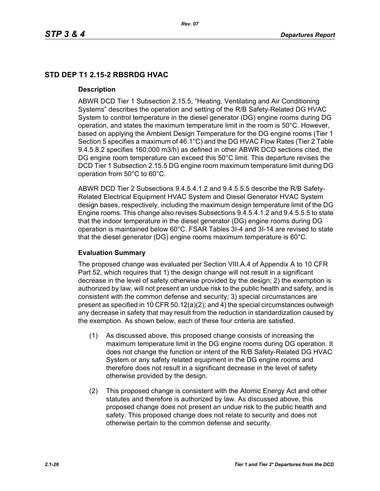# **STD DEP T1 2.15-2 RBSRDG HVAC**

#### **Description**

ABWR DCD Tier 1 Subsection 2.15.5, "Heating, Ventilating and Air Conditioning Systems" describes the operation and setting of the R/B Safety-Related DG HVAC System to control temperature in the diesel generator (DG) engine rooms during DG operation, and states the maximum temperature limit in the room is 50°C. However, based on applying the Ambient Design Temperature for the DG engine rooms (Tier 1 Section 5 specifies a maximum of 46.1°C) and the DG HVAC Flow Rates (Tier 2 Table 9.4.5.8.2 specifies 160,000 m3/h) as defined in other ABWR DCD sections cited, the DG engine room temperature can exceed this 50°C limit. This departure revises the DCD Tier 1 Subsection 2.15.5 DG engine room maximum temperature limit during DG operation from 50°C to 60°C.

ABWR DCD Tier 2 Subsections 9.4.5.4.1.2 and 9.4.5.5.5 describe the R/B Safety-Related Electrical Equipment HVAC System and Diesel Generator HVAC System design bases, respectively, including the maximum design temperature limit of the DG Engine rooms. This change also revises Subsections 9.4.5.4.1.2 and 9.4.5.5.5 to state that the indoor temperature in the diesel generator (DG) engine rooms during DG operation is maintained below 60°C. FSAR Tables 3I-4 and 3I-14 are revised to state that the diesel generator (DG) engine rooms maximum temperature is 60°C.

## **Evaluation Summary**

The proposed change was evaluated per Section VIII.A.4 of Appendix A to 10 CFR Part 52, which requires that 1) the design change will not result in a significant decrease in the level of safety otherwise provided by the design; 2) the exemption is authorized by law, will not present an undue risk to the public health and safety, and is consistent with the common defense and security; 3) special circumstances are present as specified in 10 CFR 50.12(a)(2); and 4) the special circumstances outweigh any decrease in safety that may result from the reduction in standardization caused by the exemption. As shown below, each of these four criteria are satisfied.

- (1) As discussed above, this proposed change consists of increasing the maximum temperature limit in the DG engine rooms during DG operation. It does not change the function or intent of the R/B Safety-Related DG HVAC System or any safety related equipment in the DG engine rooms and therefore does not result in a significant decrease in the level of safety otherwise provided by the design.
- (2) This proposed change is consistent with the Atomic Energy Act and other statutes and therefore is authorized by law. As discussed above, this proposed change does not present an undue risk to the public health and safety. This proposed change does not relate to security and does not otherwise pertain to the common defense and security.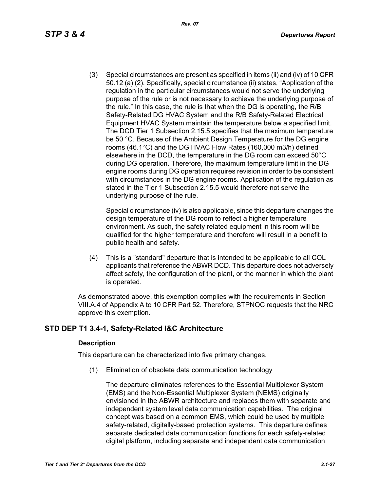(3) Special circumstances are present as specified in items (ii) and (iv) of 10 CFR 50.12 (a) (2). Specifically, special circumstance (ii) states, "Application of the regulation in the particular circumstances would not serve the underlying purpose of the rule or is not necessary to achieve the underlying purpose of the rule." In this case, the rule is that when the DG is operating, the R/B Safety-Related DG HVAC System and the R/B Safety-Related Electrical Equipment HVAC System maintain the temperature below a specified limit. The DCD Tier 1 Subsection 2.15.5 specifies that the maximum temperature be 50 °C. Because of the Ambient Design Temperature for the DG engine rooms (46.1°C) and the DG HVAC Flow Rates (160,000 m3/h) defined elsewhere in the DCD, the temperature in the DG room can exceed 50°C during DG operation. Therefore, the maximum temperature limit in the DG engine rooms during DG operation requires revision in order to be consistent with circumstances in the DG engine rooms. Application of the regulation as stated in the Tier 1 Subsection 2.15.5 would therefore not serve the underlying purpose of the rule.

Special circumstance (iv) is also applicable, since this departure changes the design temperature of the DG room to reflect a higher temperature environment. As such, the safety related equipment in this room will be qualified for the higher temperature and therefore will result in a benefit to public health and safety.

(4) This is a "standard" departure that is intended to be applicable to all COL applicants that reference the ABWR DCD. This departure does not adversely affect safety, the configuration of the plant, or the manner in which the plant is operated.

As demonstrated above, this exemption complies with the requirements in Section VIII.A.4 of Appendix A to 10 CFR Part 52. Therefore, STPNOC requests that the NRC approve this exemption.

# **STD DEP T1 3.4-1, Safety-Related I&C Architecture**

## **Description**

This departure can be characterized into five primary changes.

(1) Elimination of obsolete data communication technology

The departure eliminates references to the Essential Multiplexer System (EMS) and the Non-Essential Multiplexer System (NEMS) originally envisioned in the ABWR architecture and replaces them with separate and independent system level data communication capabilities. The original concept was based on a common EMS, which could be used by multiple safety-related, digitally-based protection systems. This departure defines separate dedicated data communication functions for each safety-related digital platform, including separate and independent data communication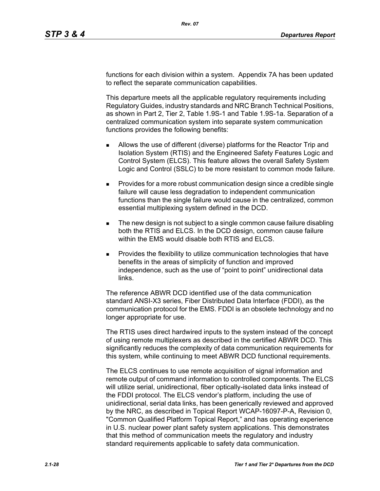functions for each division within a system. Appendix 7A has been updated to reflect the separate communication capabilities.

This departure meets all the applicable regulatory requirements including Regulatory Guides, industry standards and NRC Branch Technical Positions, as shown in Part 2, Tier 2, Table 1.9S-1 and Table 1.9S-1a. Separation of a centralized communication system into separate system communication functions provides the following benefits:

- Allows the use of different (diverse) platforms for the Reactor Trip and Isolation System (RTIS) and the Engineered Safety Features Logic and Control System (ELCS). This feature allows the overall Safety System Logic and Control (SSLC) to be more resistant to common mode failure.
- **Provides for a more robust communication design since a credible single** failure will cause less degradation to independent communication functions than the single failure would cause in the centralized, common essential multiplexing system defined in the DCD.
- The new design is not subject to a single common cause failure disabling both the RTIS and ELCS. In the DCD design, common cause failure within the EMS would disable both RTIS and ELCS.
- Provides the flexibility to utilize communication technologies that have benefits in the areas of simplicity of function and improved independence, such as the use of "point to point" unidirectional data links.

The reference ABWR DCD identified use of the data communication standard ANSI-X3 series, Fiber Distributed Data Interface (FDDI), as the communication protocol for the EMS. FDDI is an obsolete technology and no longer appropriate for use.

The RTIS uses direct hardwired inputs to the system instead of the concept of using remote multiplexers as described in the certified ABWR DCD. This significantly reduces the complexity of data communication requirements for this system, while continuing to meet ABWR DCD functional requirements.

The ELCS continues to use remote acquisition of signal information and remote output of command information to controlled components. The ELCS will utilize serial, unidirectional, fiber optically-isolated data links instead of the FDDI protocol. The ELCS vendor's platform, including the use of unidirectional, serial data links, has been generically reviewed and approved by the NRC, as described in Topical Report WCAP-16097-P-A, Revision 0, "Common Qualified Platform Topical Report," and has operating experience in U.S. nuclear power plant safety system applications. This demonstrates that this method of communication meets the regulatory and industry standard requirements applicable to safety data communication.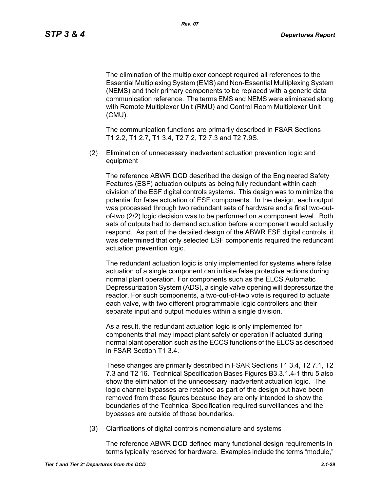The elimination of the multiplexer concept required all references to the Essential Multiplexing System (EMS) and Non-Essential Multiplexing System (NEMS) and their primary components to be replaced with a generic data communication reference. The terms EMS and NEMS were eliminated along with Remote Multiplexer Unit (RMU) and Control Room Multiplexer Unit (CMU).

The communication functions are primarily described in FSAR Sections T1 2.2, T1 2.7, T1 3.4, T2 7.2, T2 7.3 and T2 7.9S.

(2) Elimination of unnecessary inadvertent actuation prevention logic and equipment

The reference ABWR DCD described the design of the Engineered Safety Features (ESF) actuation outputs as being fully redundant within each division of the ESF digital controls systems. This design was to minimize the potential for false actuation of ESF components. In the design, each output was processed through two redundant sets of hardware and a final two-outof-two (2/2) logic decision was to be performed on a component level. Both sets of outputs had to demand actuation before a component would actually respond. As part of the detailed design of the ABWR ESF digital controls, it was determined that only selected ESF components required the redundant actuation prevention logic.

The redundant actuation logic is only implemented for systems where false actuation of a single component can initiate false protective actions during normal plant operation. For components such as the ELCS Automatic Depressurization System (ADS), a single valve opening will depressurize the reactor. For such components, a two-out-of-two vote is required to actuate each valve, with two different programmable logic controllers and their separate input and output modules within a single division.

As a result, the redundant actuation logic is only implemented for components that may impact plant safety or operation if actuated during normal plant operation such as the ECCS functions of the ELCS as described in FSAR Section T1 3.4.

These changes are primarily described in FSAR Sections T1 3.4, T2 7.1, T2 7.3 and T2 16. Technical Specification Bases Figures B3.3.1.4-1 thru 5 also show the elimination of the unnecessary inadvertent actuation logic. The logic channel bypasses are retained as part of the design but have been removed from these figures because they are only intended to show the boundaries of the Technical Specification required surveillances and the bypasses are outside of those boundaries.

(3) Clarifications of digital controls nomenclature and systems

The reference ABWR DCD defined many functional design requirements in terms typically reserved for hardware. Examples include the terms "module,"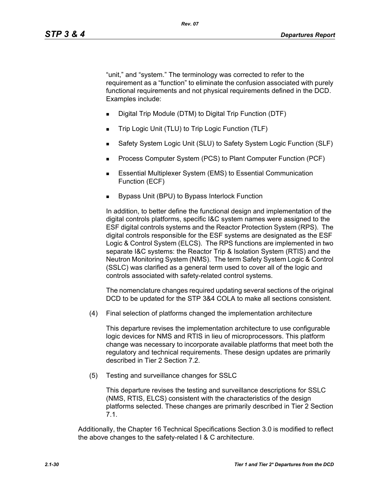"unit," and "system." The terminology was corrected to refer to the requirement as a "function" to eliminate the confusion associated with purely functional requirements and not physical requirements defined in the DCD. Examples include:

- Digital Trip Module (DTM) to Digital Trip Function (DTF)
- Trip Logic Unit (TLU) to Trip Logic Function (TLF)
- Safety System Logic Unit (SLU) to Safety System Logic Function (SLF)
- Process Computer System (PCS) to Plant Computer Function (PCF)
- **Essential Multiplexer System (EMS) to Essential Communication** Function (ECF)
- Bypass Unit (BPU) to Bypass Interlock Function

In addition, to better define the functional design and implementation of the digital controls platforms, specific I&C system names were assigned to the ESF digital controls systems and the Reactor Protection System (RPS). The digital controls responsible for the ESF systems are designated as the ESF Logic & Control System (ELCS). The RPS functions are implemented in two separate I&C systems: the Reactor Trip & Isolation System (RTIS) and the Neutron Monitoring System (NMS). The term Safety System Logic & Control (SSLC) was clarified as a general term used to cover all of the logic and controls associated with safety-related control systems.

The nomenclature changes required updating several sections of the original DCD to be updated for the STP 3&4 COLA to make all sections consistent.

(4) Final selection of platforms changed the implementation architecture

This departure revises the implementation architecture to use configurable logic devices for NMS and RTIS in lieu of microprocessors. This platform change was necessary to incorporate available platforms that meet both the regulatory and technical requirements. These design updates are primarily described in Tier 2 Section 7.2.

(5) Testing and surveillance changes for SSLC

This departure revises the testing and surveillance descriptions for SSLC (NMS, RTIS, ELCS) consistent with the characteristics of the design platforms selected. These changes are primarily described in Tier 2 Section 7.1.

Additionally, the Chapter 16 Technical Specifications Section 3.0 is modified to reflect the above changes to the safety-related I & C architecture.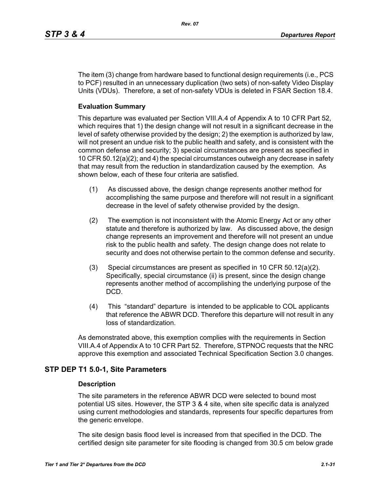The item (3) change from hardware based to functional design requirements (i.e., PCS to PCF) resulted in an unnecessary duplication (two sets) of non-safety Video Display Units (VDUs). Therefore, a set of non-safety VDUs is deleted in FSAR Section 18.4.

# **Evaluation Summary**

This departure was evaluated per Section VIII.A.4 of Appendix A to 10 CFR Part 52, which requires that 1) the design change will not result in a significant decrease in the level of safety otherwise provided by the design; 2) the exemption is authorized by law, will not present an undue risk to the public health and safety, and is consistent with the common defense and security; 3) special circumstances are present as specified in 10 CFR 50.12(a)(2); and 4) the special circumstances outweigh any decrease in safety that may result from the reduction in standardization caused by the exemption. As shown below, each of these four criteria are satisfied.

- (1) As discussed above, the design change represents another method for accomplishing the same purpose and therefore will not result in a significant decrease in the level of safety otherwise provided by the design.
- (2) The exemption is not inconsistent with the Atomic Energy Act or any other statute and therefore is authorized by law. As discussed above, the design change represents an improvement and therefore will not present an undue risk to the public health and safety. The design change does not relate to security and does not otherwise pertain to the common defense and security.
- (3) Special circumstances are present as specified in 10 CFR 50.12(a)(2). Specifically, special circumstance (ii) is present, since the design change represents another method of accomplishing the underlying purpose of the DCD.
- (4) This "standard" departure is intended to be applicable to COL applicants that reference the ABWR DCD. Therefore this departure will not result in any loss of standardization.

As demonstrated above, this exemption complies with the requirements in Section VIII.A.4 of Appendix A to 10 CFR Part 52. Therefore, STPNOC requests that the NRC approve this exemption and associated Technical Specification Section 3.0 changes.

# **STP DEP T1 5.0-1, Site Parameters**

#### **Description**

The site parameters in the reference ABWR DCD were selected to bound most potential US sites. However, the STP 3 & 4 site, when site specific data is analyzed using current methodologies and standards, represents four specific departures from the generic envelope.

The site design basis flood level is increased from that specified in the DCD. The certified design site parameter for site flooding is changed from 30.5 cm below grade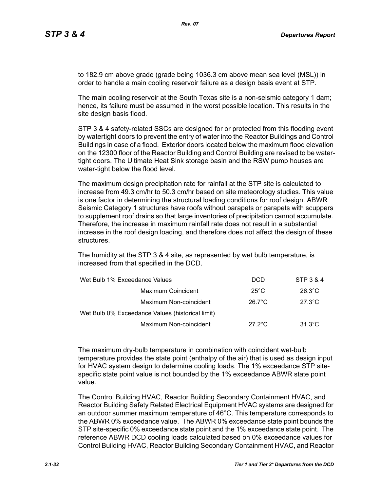to 182.9 cm above grade (grade being 1036.3 cm above mean sea level (MSL)) in order to handle a main cooling reservoir failure as a design basis event at STP.

The main cooling reservoir at the South Texas site is a non-seismic category 1 dam; hence, its failure must be assumed in the worst possible location. This results in the site design basis flood.

STP 3 & 4 safety-related SSCs are designed for or protected from this flooding event by watertight doors to prevent the entry of water into the Reactor Buildings and Control Buildings in case of a flood. Exterior doors located below the maximum flood elevation on the 12300 floor of the Reactor Building and Control Building are revised to be watertight doors. The Ultimate Heat Sink storage basin and the RSW pump houses are water-tight below the flood level.

The maximum design precipitation rate for rainfall at the STP site is calculated to increase from 49.3 cm/hr to 50.3 cm/hr based on site meteorology studies. This value is one factor in determining the structural loading conditions for roof design. ABWR Seismic Category 1 structures have roofs without parapets or parapets with scuppers to supplement roof drains so that large inventories of precipitation cannot accumulate. Therefore, the increase in maximum rainfall rate does not result in a substantial increase in the roof design loading, and therefore does not affect the design of these structures.

The humidity at the STP 3 & 4 site, as represented by wet bulb temperature, is increased from that specified in the DCD.

| Wet Bulb 1% Exceedance Values                    | <b>DCD</b>       | STP 3 & 4        |
|--------------------------------------------------|------------------|------------------|
| Maximum Coincident                               | $25^{\circ}$ C   | $26.3^{\circ}$ C |
| Maximum Non-coincident                           | $26.7^{\circ}$ C | $27.3^{\circ}$ C |
| Wet Bulb 0% Exceedance Values (historical limit) |                  |                  |
| Maximum Non-coincident                           | $27.2^{\circ}$ C | $31.3^{\circ}$ C |

The maximum dry-bulb temperature in combination with coincident wet-bulb temperature provides the state point (enthalpy of the air) that is used as design input for HVAC system design to determine cooling loads. The 1% exceedance STP sitespecific state point value is not bounded by the 1% exceedance ABWR state point value.

The Control Building HVAC, Reactor Building Secondary Containment HVAC, and Reactor Building Safety Related Electrical Equipment HVAC systems are designed for an outdoor summer maximum temperature of 46°C. This temperature corresponds to the ABWR 0% exceedance value. The ABWR 0% exceedance state point bounds the STP site-specific 0% exceedance state point and the 1% exceedance state point. The reference ABWR DCD cooling loads calculated based on 0% exceedance values for Control Building HVAC, Reactor Building Secondary Containment HVAC, and Reactor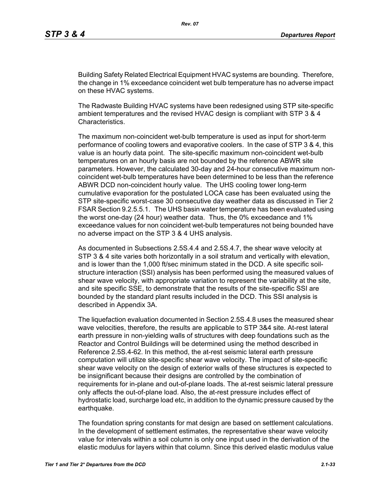Building Safety Related Electrical Equipment HVAC systems are bounding. Therefore, the change in 1% exceedance coincident wet bulb temperature has no adverse impact on these HVAC systems.

The Radwaste Building HVAC systems have been redesigned using STP site-specific ambient temperatures and the revised HVAC design is compliant with STP 3 & 4 Characteristics.

The maximum non-coincident wet-bulb temperature is used as input for short-term performance of cooling towers and evaporative coolers. In the case of STP 3 & 4, this value is an hourly data point. The site-specific maximum non-coincident wet-bulb temperatures on an hourly basis are not bounded by the reference ABWR site parameters. However, the calculated 30-day and 24-hour consecutive maximum noncoincident wet-bulb temperatures have been determined to be less than the reference ABWR DCD non-coincident hourly value. The UHS cooling tower long-term cumulative evaporation for the postulated LOCA case has been evaluated using the STP site-specific worst-case 30 consecutive day weather data as discussed in Tier 2 FSAR Section 9.2.5.5.1. The UHS basin water temperature has been evaluated using the worst one-day (24 hour) weather data. Thus, the 0% exceedance and 1% exceedance values for non coincident wet-bulb temperatures not being bounded have no adverse impact on the STP 3 & 4 UHS analysis.

As documented in Subsections 2.5S.4.4 and 2.5S.4.7, the shear wave velocity at STP 3 & 4 site varies both horizontally in a soil stratum and vertically with elevation, and is lower than the 1,000 ft/sec minimum stated in the DCD. A site specific soilstructure interaction (SSI) analysis has been performed using the measured values of shear wave velocity, with appropriate variation to represent the variability at the site, and site specific SSE, to demonstrate that the results of the site-specific SSI are bounded by the standard plant results included in the DCD. This SSI analysis is described in Appendix 3A.

The liquefaction evaluation documented in Section 2.5S.4.8 uses the measured shear wave velocities, therefore, the results are applicable to STP 3&4 site. At-rest lateral earth pressure in non-yielding walls of structures with deep foundations such as the Reactor and Control Buildings will be determined using the method described in Reference 2.5S.4-62. In this method, the at-rest seismic lateral earth pressure computation will utilize site-specific shear wave velocity. The impact of site-specific shear wave velocity on the design of exterior walls of these structures is expected to be insignificant because their designs are controlled by the combination of requirements for in-plane and out-of-plane loads. The at-rest seismic lateral pressure only affects the out-of-plane load. Also, the at-rest pressure includes effect of hydrostatic load, surcharge load etc, in addition to the dynamic pressure caused by the earthquake.

The foundation spring constants for mat design are based on settlement calculations. In the development of settlement estimates, the representative shear wave velocity value for intervals within a soil column is only one input used in the derivation of the elastic modulus for layers within that column. Since this derived elastic modulus value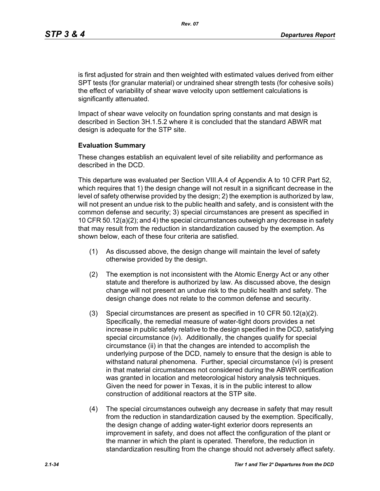is first adjusted for strain and then weighted with estimated values derived from either SPT tests (for granular material) or undrained shear strength tests (for cohesive soils) the effect of variability of shear wave velocity upon settlement calculations is significantly attenuated.

Impact of shear wave velocity on foundation spring constants and mat design is described in Section 3H.1.5.2 where it is concluded that the standard ABWR mat design is adequate for the STP site.

#### **Evaluation Summary**

These changes establish an equivalent level of site reliability and performance as described in the DCD.

This departure was evaluated per Section VIII.A.4 of Appendix A to 10 CFR Part 52, which requires that 1) the design change will not result in a significant decrease in the level of safety otherwise provided by the design; 2) the exemption is authorized by law, will not present an undue risk to the public health and safety, and is consistent with the common defense and security; 3) special circumstances are present as specified in 10 CFR 50.12(a)(2); and 4) the special circumstances outweigh any decrease in safety that may result from the reduction in standardization caused by the exemption. As shown below, each of these four criteria are satisfied.

- (1) As discussed above, the design change will maintain the level of safety otherwise provided by the design.
- (2) The exemption is not inconsistent with the Atomic Energy Act or any other statute and therefore is authorized by law. As discussed above, the design change will not present an undue risk to the public health and safety. The design change does not relate to the common defense and security.
- (3) Special circumstances are present as specified in 10 CFR 50.12(a)(2). Specifically, the remedial measure of water-tight doors provides a net increase in public safety relative to the design specified in the DCD, satisfying special circumstance (iv). Additionally, the changes qualify for special circumstance (ii) in that the changes are intended to accomplish the underlying purpose of the DCD, namely to ensure that the design is able to withstand natural phenomena. Further, special circumstance (vi) is present in that material circumstances not considered during the ABWR certification was granted in location and meteorological history analysis techniques. Given the need for power in Texas, it is in the public interest to allow construction of additional reactors at the STP site.
- (4) The special circumstances outweigh any decrease in safety that may result from the reduction in standardization caused by the exemption. Specifically, the design change of adding water-tight exterior doors represents an improvement in safety, and does not affect the configuration of the plant or the manner in which the plant is operated. Therefore, the reduction in standardization resulting from the change should not adversely affect safety.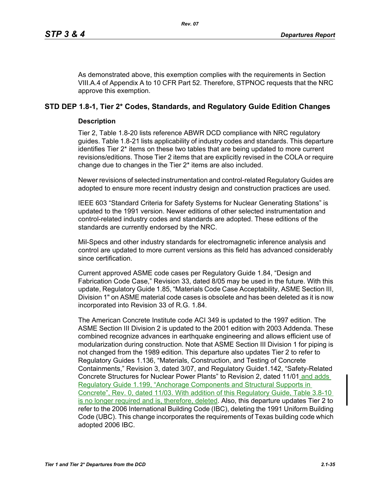As demonstrated above, this exemption complies with the requirements in Section VIII.A.4 of Appendix A to 10 CFR Part 52. Therefore, STPNOC requests that the NRC approve this exemption.

# **STD DEP 1.8-1, Tier 2\* Codes, Standards, and Regulatory Guide Edition Changes**

## **Description**

Tier 2, Table 1.8-20 lists reference ABWR DCD compliance with NRC regulatory guides. Table 1.8-21 lists applicability of industry codes and standards. This departure identifies Tier 2\* items on these two tables that are being updated to more current revisions/editions. Those Tier 2 items that are explicitly revised in the COLA or require change due to changes in the Tier 2\* items are also included.

Newer revisions of selected instrumentation and control-related Regulatory Guides are adopted to ensure more recent industry design and construction practices are used.

IEEE 603 "Standard Criteria for Safety Systems for Nuclear Generating Stations" is updated to the 1991 version. Newer editions of other selected instrumentation and control-related industry codes and standards are adopted. These editions of the standards are currently endorsed by the NRC.

Mil-Specs and other industry standards for electromagnetic inference analysis and control are updated to more current versions as this field has advanced considerably since certification.

Current approved ASME code cases per Regulatory Guide 1.84, "Design and Fabrication Code Case," Revision 33, dated 8/05 may be used in the future. With this update, Regulatory Guide 1.85, "Materials Code Case Acceptability, ASME Section III, Division 1" on ASME material code cases is obsolete and has been deleted as it is now incorporated into Revision 33 of R.G. 1.84.

The American Concrete Institute code ACI 349 is updated to the 1997 edition. The ASME Section III Division 2 is updated to the 2001 edition with 2003 Addenda. These combined recognize advances in earthquake engineering and allows efficient use of modularization during construction. Note that ASME Section III Division 1 for piping is not changed from the 1989 edition. This departure also updates Tier 2 to refer to Regulatory Guides 1.136, "Materials, Construction, and Testing of Concrete Containments," Revision 3, dated 3/07, and Regulatory Guide1.142, "Safety-Related Concrete Structures for Nuclear Power Plants" to Revision 2, dated 11/01 and adds Regulatory Guide 1.199, "Anchorage Components and Structural Supports in Concrete", Rev. 0, dated 11/03. With addition of this Regulatory Guide, Table 3.8-10 is no longer required and is, therefore, deleted. Also, this departure updates Tier 2 to refer to the 2006 International Building Code (IBC), deleting the 1991 Uniform Building Code (UBC). This change incorporates the requirements of Texas building code which adopted 2006 IBC.